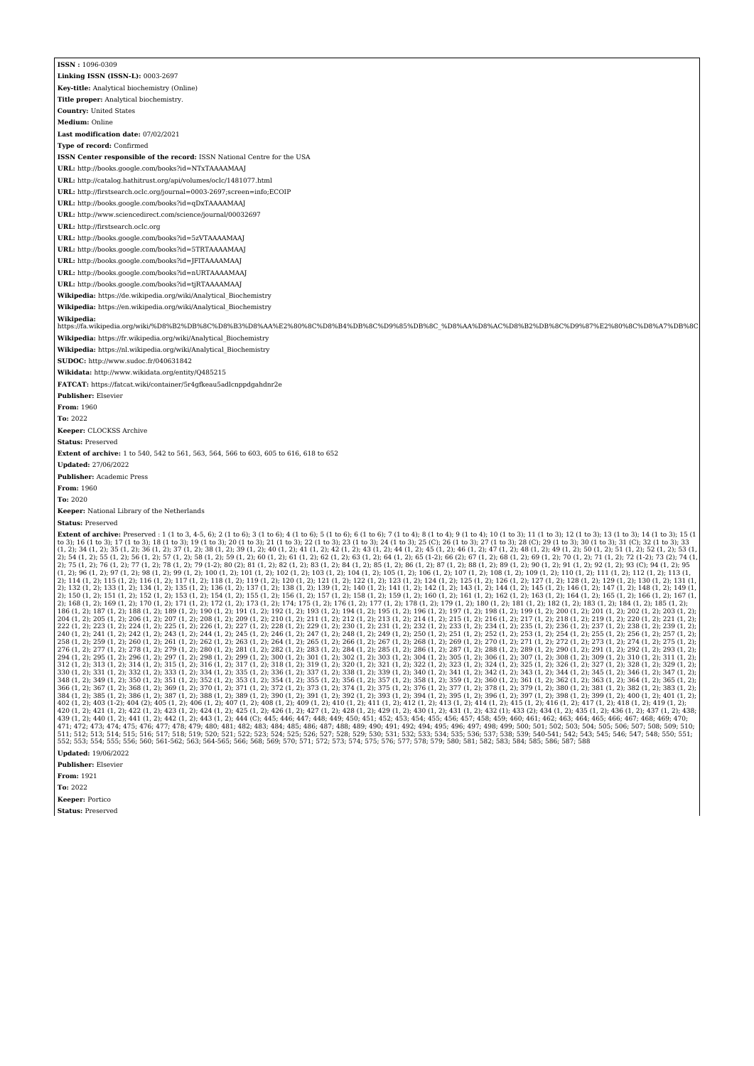| ISSN: 1096-0309                                                                                                                                                                                                                                                                                                                                                                                                                                                                                                                                                                                                                                                                                                                                                                                                                                                                                                                                                                                                                                                                                                                                                                                                                                                                                                                                                                                                                                                                                                                                                                                                                                                                                                                                                                                                                                                                                                                                                                                                                                                                                                                                                                                                                                                                                                                                                                                                                                                                                                                                                                                                                                                                                                                                                                                                                                                                                                                                                                                                                                                                                                                                                                                                                                                                                                                                                                                                                                                                                                                                                                                                                                                                                                                                                                                                                                                                                                                                                                                                                                                                                                                                                                                                                                                                                                                                                                                                                                                                                                                                                                                                                                                                                                                                          |
|----------------------------------------------------------------------------------------------------------------------------------------------------------------------------------------------------------------------------------------------------------------------------------------------------------------------------------------------------------------------------------------------------------------------------------------------------------------------------------------------------------------------------------------------------------------------------------------------------------------------------------------------------------------------------------------------------------------------------------------------------------------------------------------------------------------------------------------------------------------------------------------------------------------------------------------------------------------------------------------------------------------------------------------------------------------------------------------------------------------------------------------------------------------------------------------------------------------------------------------------------------------------------------------------------------------------------------------------------------------------------------------------------------------------------------------------------------------------------------------------------------------------------------------------------------------------------------------------------------------------------------------------------------------------------------------------------------------------------------------------------------------------------------------------------------------------------------------------------------------------------------------------------------------------------------------------------------------------------------------------------------------------------------------------------------------------------------------------------------------------------------------------------------------------------------------------------------------------------------------------------------------------------------------------------------------------------------------------------------------------------------------------------------------------------------------------------------------------------------------------------------------------------------------------------------------------------------------------------------------------------------------------------------------------------------------------------------------------------------------------------------------------------------------------------------------------------------------------------------------------------------------------------------------------------------------------------------------------------------------------------------------------------------------------------------------------------------------------------------------------------------------------------------------------------------------------------------------------------------------------------------------------------------------------------------------------------------------------------------------------------------------------------------------------------------------------------------------------------------------------------------------------------------------------------------------------------------------------------------------------------------------------------------------------------------------------------------------------------------------------------------------------------------------------------------------------------------------------------------------------------------------------------------------------------------------------------------------------------------------------------------------------------------------------------------------------------------------------------------------------------------------------------------------------------------------------------------------------------------------------------------------------------------------------------------------------------------------------------------------------------------------------------------------------------------------------------------------------------------------------------------------------------------------------------------------------------------------------------------------------------------------------------------------------------------------------------------------------------------------------------------|
| Linking ISSN (ISSN-L): 0003-2697                                                                                                                                                                                                                                                                                                                                                                                                                                                                                                                                                                                                                                                                                                                                                                                                                                                                                                                                                                                                                                                                                                                                                                                                                                                                                                                                                                                                                                                                                                                                                                                                                                                                                                                                                                                                                                                                                                                                                                                                                                                                                                                                                                                                                                                                                                                                                                                                                                                                                                                                                                                                                                                                                                                                                                                                                                                                                                                                                                                                                                                                                                                                                                                                                                                                                                                                                                                                                                                                                                                                                                                                                                                                                                                                                                                                                                                                                                                                                                                                                                                                                                                                                                                                                                                                                                                                                                                                                                                                                                                                                                                                                                                                                                                         |
| Key-title: Analytical biochemistry (Online)                                                                                                                                                                                                                                                                                                                                                                                                                                                                                                                                                                                                                                                                                                                                                                                                                                                                                                                                                                                                                                                                                                                                                                                                                                                                                                                                                                                                                                                                                                                                                                                                                                                                                                                                                                                                                                                                                                                                                                                                                                                                                                                                                                                                                                                                                                                                                                                                                                                                                                                                                                                                                                                                                                                                                                                                                                                                                                                                                                                                                                                                                                                                                                                                                                                                                                                                                                                                                                                                                                                                                                                                                                                                                                                                                                                                                                                                                                                                                                                                                                                                                                                                                                                                                                                                                                                                                                                                                                                                                                                                                                                                                                                                                                              |
| Title proper: Analytical biochemistry.                                                                                                                                                                                                                                                                                                                                                                                                                                                                                                                                                                                                                                                                                                                                                                                                                                                                                                                                                                                                                                                                                                                                                                                                                                                                                                                                                                                                                                                                                                                                                                                                                                                                                                                                                                                                                                                                                                                                                                                                                                                                                                                                                                                                                                                                                                                                                                                                                                                                                                                                                                                                                                                                                                                                                                                                                                                                                                                                                                                                                                                                                                                                                                                                                                                                                                                                                                                                                                                                                                                                                                                                                                                                                                                                                                                                                                                                                                                                                                                                                                                                                                                                                                                                                                                                                                                                                                                                                                                                                                                                                                                                                                                                                                                   |
| <b>Country: United States</b>                                                                                                                                                                                                                                                                                                                                                                                                                                                                                                                                                                                                                                                                                                                                                                                                                                                                                                                                                                                                                                                                                                                                                                                                                                                                                                                                                                                                                                                                                                                                                                                                                                                                                                                                                                                                                                                                                                                                                                                                                                                                                                                                                                                                                                                                                                                                                                                                                                                                                                                                                                                                                                                                                                                                                                                                                                                                                                                                                                                                                                                                                                                                                                                                                                                                                                                                                                                                                                                                                                                                                                                                                                                                                                                                                                                                                                                                                                                                                                                                                                                                                                                                                                                                                                                                                                                                                                                                                                                                                                                                                                                                                                                                                                                            |
| Medium: Online                                                                                                                                                                                                                                                                                                                                                                                                                                                                                                                                                                                                                                                                                                                                                                                                                                                                                                                                                                                                                                                                                                                                                                                                                                                                                                                                                                                                                                                                                                                                                                                                                                                                                                                                                                                                                                                                                                                                                                                                                                                                                                                                                                                                                                                                                                                                                                                                                                                                                                                                                                                                                                                                                                                                                                                                                                                                                                                                                                                                                                                                                                                                                                                                                                                                                                                                                                                                                                                                                                                                                                                                                                                                                                                                                                                                                                                                                                                                                                                                                                                                                                                                                                                                                                                                                                                                                                                                                                                                                                                                                                                                                                                                                                                                           |
| Last modification date: 07/02/2021                                                                                                                                                                                                                                                                                                                                                                                                                                                                                                                                                                                                                                                                                                                                                                                                                                                                                                                                                                                                                                                                                                                                                                                                                                                                                                                                                                                                                                                                                                                                                                                                                                                                                                                                                                                                                                                                                                                                                                                                                                                                                                                                                                                                                                                                                                                                                                                                                                                                                                                                                                                                                                                                                                                                                                                                                                                                                                                                                                                                                                                                                                                                                                                                                                                                                                                                                                                                                                                                                                                                                                                                                                                                                                                                                                                                                                                                                                                                                                                                                                                                                                                                                                                                                                                                                                                                                                                                                                                                                                                                                                                                                                                                                                                       |
| Type of record: Confirmed                                                                                                                                                                                                                                                                                                                                                                                                                                                                                                                                                                                                                                                                                                                                                                                                                                                                                                                                                                                                                                                                                                                                                                                                                                                                                                                                                                                                                                                                                                                                                                                                                                                                                                                                                                                                                                                                                                                                                                                                                                                                                                                                                                                                                                                                                                                                                                                                                                                                                                                                                                                                                                                                                                                                                                                                                                                                                                                                                                                                                                                                                                                                                                                                                                                                                                                                                                                                                                                                                                                                                                                                                                                                                                                                                                                                                                                                                                                                                                                                                                                                                                                                                                                                                                                                                                                                                                                                                                                                                                                                                                                                                                                                                                                                |
| ISSN Center responsible of the record: ISSN National Centre for the USA                                                                                                                                                                                                                                                                                                                                                                                                                                                                                                                                                                                                                                                                                                                                                                                                                                                                                                                                                                                                                                                                                                                                                                                                                                                                                                                                                                                                                                                                                                                                                                                                                                                                                                                                                                                                                                                                                                                                                                                                                                                                                                                                                                                                                                                                                                                                                                                                                                                                                                                                                                                                                                                                                                                                                                                                                                                                                                                                                                                                                                                                                                                                                                                                                                                                                                                                                                                                                                                                                                                                                                                                                                                                                                                                                                                                                                                                                                                                                                                                                                                                                                                                                                                                                                                                                                                                                                                                                                                                                                                                                                                                                                                                                  |
| URL: http://books.google.com/books?id=NTxTAAAAMAAJ                                                                                                                                                                                                                                                                                                                                                                                                                                                                                                                                                                                                                                                                                                                                                                                                                                                                                                                                                                                                                                                                                                                                                                                                                                                                                                                                                                                                                                                                                                                                                                                                                                                                                                                                                                                                                                                                                                                                                                                                                                                                                                                                                                                                                                                                                                                                                                                                                                                                                                                                                                                                                                                                                                                                                                                                                                                                                                                                                                                                                                                                                                                                                                                                                                                                                                                                                                                                                                                                                                                                                                                                                                                                                                                                                                                                                                                                                                                                                                                                                                                                                                                                                                                                                                                                                                                                                                                                                                                                                                                                                                                                                                                                                                       |
| URL: http://catalog.hathitrust.org/api/volumes/oclc/1481077.html                                                                                                                                                                                                                                                                                                                                                                                                                                                                                                                                                                                                                                                                                                                                                                                                                                                                                                                                                                                                                                                                                                                                                                                                                                                                                                                                                                                                                                                                                                                                                                                                                                                                                                                                                                                                                                                                                                                                                                                                                                                                                                                                                                                                                                                                                                                                                                                                                                                                                                                                                                                                                                                                                                                                                                                                                                                                                                                                                                                                                                                                                                                                                                                                                                                                                                                                                                                                                                                                                                                                                                                                                                                                                                                                                                                                                                                                                                                                                                                                                                                                                                                                                                                                                                                                                                                                                                                                                                                                                                                                                                                                                                                                                         |
| URL: http://firstsearch.oclc.org/journal=0003-2697;screen=info;ECOIP                                                                                                                                                                                                                                                                                                                                                                                                                                                                                                                                                                                                                                                                                                                                                                                                                                                                                                                                                                                                                                                                                                                                                                                                                                                                                                                                                                                                                                                                                                                                                                                                                                                                                                                                                                                                                                                                                                                                                                                                                                                                                                                                                                                                                                                                                                                                                                                                                                                                                                                                                                                                                                                                                                                                                                                                                                                                                                                                                                                                                                                                                                                                                                                                                                                                                                                                                                                                                                                                                                                                                                                                                                                                                                                                                                                                                                                                                                                                                                                                                                                                                                                                                                                                                                                                                                                                                                                                                                                                                                                                                                                                                                                                                     |
| URL: http://books.google.com/books?id=qDxTAAAAMAAJ                                                                                                                                                                                                                                                                                                                                                                                                                                                                                                                                                                                                                                                                                                                                                                                                                                                                                                                                                                                                                                                                                                                                                                                                                                                                                                                                                                                                                                                                                                                                                                                                                                                                                                                                                                                                                                                                                                                                                                                                                                                                                                                                                                                                                                                                                                                                                                                                                                                                                                                                                                                                                                                                                                                                                                                                                                                                                                                                                                                                                                                                                                                                                                                                                                                                                                                                                                                                                                                                                                                                                                                                                                                                                                                                                                                                                                                                                                                                                                                                                                                                                                                                                                                                                                                                                                                                                                                                                                                                                                                                                                                                                                                                                                       |
| URL: http://www.sciencedirect.com/science/journal/00032697                                                                                                                                                                                                                                                                                                                                                                                                                                                                                                                                                                                                                                                                                                                                                                                                                                                                                                                                                                                                                                                                                                                                                                                                                                                                                                                                                                                                                                                                                                                                                                                                                                                                                                                                                                                                                                                                                                                                                                                                                                                                                                                                                                                                                                                                                                                                                                                                                                                                                                                                                                                                                                                                                                                                                                                                                                                                                                                                                                                                                                                                                                                                                                                                                                                                                                                                                                                                                                                                                                                                                                                                                                                                                                                                                                                                                                                                                                                                                                                                                                                                                                                                                                                                                                                                                                                                                                                                                                                                                                                                                                                                                                                                                               |
| URL: http://firstsearch.oclc.org                                                                                                                                                                                                                                                                                                                                                                                                                                                                                                                                                                                                                                                                                                                                                                                                                                                                                                                                                                                                                                                                                                                                                                                                                                                                                                                                                                                                                                                                                                                                                                                                                                                                                                                                                                                                                                                                                                                                                                                                                                                                                                                                                                                                                                                                                                                                                                                                                                                                                                                                                                                                                                                                                                                                                                                                                                                                                                                                                                                                                                                                                                                                                                                                                                                                                                                                                                                                                                                                                                                                                                                                                                                                                                                                                                                                                                                                                                                                                                                                                                                                                                                                                                                                                                                                                                                                                                                                                                                                                                                                                                                                                                                                                                                         |
| URL: http://books.google.com/books?id=5zVTAAAAMAAJ                                                                                                                                                                                                                                                                                                                                                                                                                                                                                                                                                                                                                                                                                                                                                                                                                                                                                                                                                                                                                                                                                                                                                                                                                                                                                                                                                                                                                                                                                                                                                                                                                                                                                                                                                                                                                                                                                                                                                                                                                                                                                                                                                                                                                                                                                                                                                                                                                                                                                                                                                                                                                                                                                                                                                                                                                                                                                                                                                                                                                                                                                                                                                                                                                                                                                                                                                                                                                                                                                                                                                                                                                                                                                                                                                                                                                                                                                                                                                                                                                                                                                                                                                                                                                                                                                                                                                                                                                                                                                                                                                                                                                                                                                                       |
| <b>URL:</b> http://books.google.com/books?id=5TRTAAAAMAAJ                                                                                                                                                                                                                                                                                                                                                                                                                                                                                                                                                                                                                                                                                                                                                                                                                                                                                                                                                                                                                                                                                                                                                                                                                                                                                                                                                                                                                                                                                                                                                                                                                                                                                                                                                                                                                                                                                                                                                                                                                                                                                                                                                                                                                                                                                                                                                                                                                                                                                                                                                                                                                                                                                                                                                                                                                                                                                                                                                                                                                                                                                                                                                                                                                                                                                                                                                                                                                                                                                                                                                                                                                                                                                                                                                                                                                                                                                                                                                                                                                                                                                                                                                                                                                                                                                                                                                                                                                                                                                                                                                                                                                                                                                                |
| URL: http://books.google.com/books?id=JFlTAAAAMAAJ                                                                                                                                                                                                                                                                                                                                                                                                                                                                                                                                                                                                                                                                                                                                                                                                                                                                                                                                                                                                                                                                                                                                                                                                                                                                                                                                                                                                                                                                                                                                                                                                                                                                                                                                                                                                                                                                                                                                                                                                                                                                                                                                                                                                                                                                                                                                                                                                                                                                                                                                                                                                                                                                                                                                                                                                                                                                                                                                                                                                                                                                                                                                                                                                                                                                                                                                                                                                                                                                                                                                                                                                                                                                                                                                                                                                                                                                                                                                                                                                                                                                                                                                                                                                                                                                                                                                                                                                                                                                                                                                                                                                                                                                                                       |
| URL: http://books.google.com/books?id=nURTAAAAMAAJ                                                                                                                                                                                                                                                                                                                                                                                                                                                                                                                                                                                                                                                                                                                                                                                                                                                                                                                                                                                                                                                                                                                                                                                                                                                                                                                                                                                                                                                                                                                                                                                                                                                                                                                                                                                                                                                                                                                                                                                                                                                                                                                                                                                                                                                                                                                                                                                                                                                                                                                                                                                                                                                                                                                                                                                                                                                                                                                                                                                                                                                                                                                                                                                                                                                                                                                                                                                                                                                                                                                                                                                                                                                                                                                                                                                                                                                                                                                                                                                                                                                                                                                                                                                                                                                                                                                                                                                                                                                                                                                                                                                                                                                                                                       |
| URL: http://books.google.com/books?id=tjRTAAAAMAAJ                                                                                                                                                                                                                                                                                                                                                                                                                                                                                                                                                                                                                                                                                                                                                                                                                                                                                                                                                                                                                                                                                                                                                                                                                                                                                                                                                                                                                                                                                                                                                                                                                                                                                                                                                                                                                                                                                                                                                                                                                                                                                                                                                                                                                                                                                                                                                                                                                                                                                                                                                                                                                                                                                                                                                                                                                                                                                                                                                                                                                                                                                                                                                                                                                                                                                                                                                                                                                                                                                                                                                                                                                                                                                                                                                                                                                                                                                                                                                                                                                                                                                                                                                                                                                                                                                                                                                                                                                                                                                                                                                                                                                                                                                                       |
| Wikipedia: https://de.wikipedia.org/wiki/Analytical Biochemistry                                                                                                                                                                                                                                                                                                                                                                                                                                                                                                                                                                                                                                                                                                                                                                                                                                                                                                                                                                                                                                                                                                                                                                                                                                                                                                                                                                                                                                                                                                                                                                                                                                                                                                                                                                                                                                                                                                                                                                                                                                                                                                                                                                                                                                                                                                                                                                                                                                                                                                                                                                                                                                                                                                                                                                                                                                                                                                                                                                                                                                                                                                                                                                                                                                                                                                                                                                                                                                                                                                                                                                                                                                                                                                                                                                                                                                                                                                                                                                                                                                                                                                                                                                                                                                                                                                                                                                                                                                                                                                                                                                                                                                                                                         |
| Wikipedia: https://en.wikipedia.org/wiki/Analytical_Biochemistry                                                                                                                                                                                                                                                                                                                                                                                                                                                                                                                                                                                                                                                                                                                                                                                                                                                                                                                                                                                                                                                                                                                                                                                                                                                                                                                                                                                                                                                                                                                                                                                                                                                                                                                                                                                                                                                                                                                                                                                                                                                                                                                                                                                                                                                                                                                                                                                                                                                                                                                                                                                                                                                                                                                                                                                                                                                                                                                                                                                                                                                                                                                                                                                                                                                                                                                                                                                                                                                                                                                                                                                                                                                                                                                                                                                                                                                                                                                                                                                                                                                                                                                                                                                                                                                                                                                                                                                                                                                                                                                                                                                                                                                                                         |
| Wikipedia:                                                                                                                                                                                                                                                                                                                                                                                                                                                                                                                                                                                                                                                                                                                                                                                                                                                                                                                                                                                                                                                                                                                                                                                                                                                                                                                                                                                                                                                                                                                                                                                                                                                                                                                                                                                                                                                                                                                                                                                                                                                                                                                                                                                                                                                                                                                                                                                                                                                                                                                                                                                                                                                                                                                                                                                                                                                                                                                                                                                                                                                                                                                                                                                                                                                                                                                                                                                                                                                                                                                                                                                                                                                                                                                                                                                                                                                                                                                                                                                                                                                                                                                                                                                                                                                                                                                                                                                                                                                                                                                                                                                                                                                                                                                                               |
| https://fa.wikipedia.org/wiki/%D8%B2%DB%8C%D8%B3%D8%AA%E2%80%8C%D8%B4%DB%8C%D9%85%DB%8C_%D8%AA%D8%AC%D8%B2%DB%8C%D9%87%E2%80%8C%D8%A7%DB%8C                                                                                                                                                                                                                                                                                                                                                                                                                                                                                                                                                                                                                                                                                                                                                                                                                                                                                                                                                                                                                                                                                                                                                                                                                                                                                                                                                                                                                                                                                                                                                                                                                                                                                                                                                                                                                                                                                                                                                                                                                                                                                                                                                                                                                                                                                                                                                                                                                                                                                                                                                                                                                                                                                                                                                                                                                                                                                                                                                                                                                                                                                                                                                                                                                                                                                                                                                                                                                                                                                                                                                                                                                                                                                                                                                                                                                                                                                                                                                                                                                                                                                                                                                                                                                                                                                                                                                                                                                                                                                                                                                                                                              |
| Wikipedia: https://fr.wikipedia.org/wiki/Analytical_Biochemistry                                                                                                                                                                                                                                                                                                                                                                                                                                                                                                                                                                                                                                                                                                                                                                                                                                                                                                                                                                                                                                                                                                                                                                                                                                                                                                                                                                                                                                                                                                                                                                                                                                                                                                                                                                                                                                                                                                                                                                                                                                                                                                                                                                                                                                                                                                                                                                                                                                                                                                                                                                                                                                                                                                                                                                                                                                                                                                                                                                                                                                                                                                                                                                                                                                                                                                                                                                                                                                                                                                                                                                                                                                                                                                                                                                                                                                                                                                                                                                                                                                                                                                                                                                                                                                                                                                                                                                                                                                                                                                                                                                                                                                                                                         |
| Wikipedia: https://nl.wikipedia.org/wiki/Analytical_Biochemistry                                                                                                                                                                                                                                                                                                                                                                                                                                                                                                                                                                                                                                                                                                                                                                                                                                                                                                                                                                                                                                                                                                                                                                                                                                                                                                                                                                                                                                                                                                                                                                                                                                                                                                                                                                                                                                                                                                                                                                                                                                                                                                                                                                                                                                                                                                                                                                                                                                                                                                                                                                                                                                                                                                                                                                                                                                                                                                                                                                                                                                                                                                                                                                                                                                                                                                                                                                                                                                                                                                                                                                                                                                                                                                                                                                                                                                                                                                                                                                                                                                                                                                                                                                                                                                                                                                                                                                                                                                                                                                                                                                                                                                                                                         |
| SUDOC: http://www.sudoc.fr/040631842                                                                                                                                                                                                                                                                                                                                                                                                                                                                                                                                                                                                                                                                                                                                                                                                                                                                                                                                                                                                                                                                                                                                                                                                                                                                                                                                                                                                                                                                                                                                                                                                                                                                                                                                                                                                                                                                                                                                                                                                                                                                                                                                                                                                                                                                                                                                                                                                                                                                                                                                                                                                                                                                                                                                                                                                                                                                                                                                                                                                                                                                                                                                                                                                                                                                                                                                                                                                                                                                                                                                                                                                                                                                                                                                                                                                                                                                                                                                                                                                                                                                                                                                                                                                                                                                                                                                                                                                                                                                                                                                                                                                                                                                                                                     |
| Wikidata: http://www.wikidata.org/entity/Q485215                                                                                                                                                                                                                                                                                                                                                                                                                                                                                                                                                                                                                                                                                                                                                                                                                                                                                                                                                                                                                                                                                                                                                                                                                                                                                                                                                                                                                                                                                                                                                                                                                                                                                                                                                                                                                                                                                                                                                                                                                                                                                                                                                                                                                                                                                                                                                                                                                                                                                                                                                                                                                                                                                                                                                                                                                                                                                                                                                                                                                                                                                                                                                                                                                                                                                                                                                                                                                                                                                                                                                                                                                                                                                                                                                                                                                                                                                                                                                                                                                                                                                                                                                                                                                                                                                                                                                                                                                                                                                                                                                                                                                                                                                                         |
| FATCAT: https://fatcat.wiki/container/5r4gfkeau5adlcnppdgahdnr2e                                                                                                                                                                                                                                                                                                                                                                                                                                                                                                                                                                                                                                                                                                                                                                                                                                                                                                                                                                                                                                                                                                                                                                                                                                                                                                                                                                                                                                                                                                                                                                                                                                                                                                                                                                                                                                                                                                                                                                                                                                                                                                                                                                                                                                                                                                                                                                                                                                                                                                                                                                                                                                                                                                                                                                                                                                                                                                                                                                                                                                                                                                                                                                                                                                                                                                                                                                                                                                                                                                                                                                                                                                                                                                                                                                                                                                                                                                                                                                                                                                                                                                                                                                                                                                                                                                                                                                                                                                                                                                                                                                                                                                                                                         |
| Publisher: Elsevier                                                                                                                                                                                                                                                                                                                                                                                                                                                                                                                                                                                                                                                                                                                                                                                                                                                                                                                                                                                                                                                                                                                                                                                                                                                                                                                                                                                                                                                                                                                                                                                                                                                                                                                                                                                                                                                                                                                                                                                                                                                                                                                                                                                                                                                                                                                                                                                                                                                                                                                                                                                                                                                                                                                                                                                                                                                                                                                                                                                                                                                                                                                                                                                                                                                                                                                                                                                                                                                                                                                                                                                                                                                                                                                                                                                                                                                                                                                                                                                                                                                                                                                                                                                                                                                                                                                                                                                                                                                                                                                                                                                                                                                                                                                                      |
| From: 1960                                                                                                                                                                                                                                                                                                                                                                                                                                                                                                                                                                                                                                                                                                                                                                                                                                                                                                                                                                                                                                                                                                                                                                                                                                                                                                                                                                                                                                                                                                                                                                                                                                                                                                                                                                                                                                                                                                                                                                                                                                                                                                                                                                                                                                                                                                                                                                                                                                                                                                                                                                                                                                                                                                                                                                                                                                                                                                                                                                                                                                                                                                                                                                                                                                                                                                                                                                                                                                                                                                                                                                                                                                                                                                                                                                                                                                                                                                                                                                                                                                                                                                                                                                                                                                                                                                                                                                                                                                                                                                                                                                                                                                                                                                                                               |
| To: 2022                                                                                                                                                                                                                                                                                                                                                                                                                                                                                                                                                                                                                                                                                                                                                                                                                                                                                                                                                                                                                                                                                                                                                                                                                                                                                                                                                                                                                                                                                                                                                                                                                                                                                                                                                                                                                                                                                                                                                                                                                                                                                                                                                                                                                                                                                                                                                                                                                                                                                                                                                                                                                                                                                                                                                                                                                                                                                                                                                                                                                                                                                                                                                                                                                                                                                                                                                                                                                                                                                                                                                                                                                                                                                                                                                                                                                                                                                                                                                                                                                                                                                                                                                                                                                                                                                                                                                                                                                                                                                                                                                                                                                                                                                                                                                 |
| Keeper: CLOCKSS Archive                                                                                                                                                                                                                                                                                                                                                                                                                                                                                                                                                                                                                                                                                                                                                                                                                                                                                                                                                                                                                                                                                                                                                                                                                                                                                                                                                                                                                                                                                                                                                                                                                                                                                                                                                                                                                                                                                                                                                                                                                                                                                                                                                                                                                                                                                                                                                                                                                                                                                                                                                                                                                                                                                                                                                                                                                                                                                                                                                                                                                                                                                                                                                                                                                                                                                                                                                                                                                                                                                                                                                                                                                                                                                                                                                                                                                                                                                                                                                                                                                                                                                                                                                                                                                                                                                                                                                                                                                                                                                                                                                                                                                                                                                                                                  |
| <b>Status: Preserved</b>                                                                                                                                                                                                                                                                                                                                                                                                                                                                                                                                                                                                                                                                                                                                                                                                                                                                                                                                                                                                                                                                                                                                                                                                                                                                                                                                                                                                                                                                                                                                                                                                                                                                                                                                                                                                                                                                                                                                                                                                                                                                                                                                                                                                                                                                                                                                                                                                                                                                                                                                                                                                                                                                                                                                                                                                                                                                                                                                                                                                                                                                                                                                                                                                                                                                                                                                                                                                                                                                                                                                                                                                                                                                                                                                                                                                                                                                                                                                                                                                                                                                                                                                                                                                                                                                                                                                                                                                                                                                                                                                                                                                                                                                                                                                 |
| <b>Extent of archive:</b> 1 to 540, 542 to 561, 563, 564, 566 to 603, 605 to 616, 618 to 652                                                                                                                                                                                                                                                                                                                                                                                                                                                                                                                                                                                                                                                                                                                                                                                                                                                                                                                                                                                                                                                                                                                                                                                                                                                                                                                                                                                                                                                                                                                                                                                                                                                                                                                                                                                                                                                                                                                                                                                                                                                                                                                                                                                                                                                                                                                                                                                                                                                                                                                                                                                                                                                                                                                                                                                                                                                                                                                                                                                                                                                                                                                                                                                                                                                                                                                                                                                                                                                                                                                                                                                                                                                                                                                                                                                                                                                                                                                                                                                                                                                                                                                                                                                                                                                                                                                                                                                                                                                                                                                                                                                                                                                             |
| <b>Updated: 27/06/2022</b>                                                                                                                                                                                                                                                                                                                                                                                                                                                                                                                                                                                                                                                                                                                                                                                                                                                                                                                                                                                                                                                                                                                                                                                                                                                                                                                                                                                                                                                                                                                                                                                                                                                                                                                                                                                                                                                                                                                                                                                                                                                                                                                                                                                                                                                                                                                                                                                                                                                                                                                                                                                                                                                                                                                                                                                                                                                                                                                                                                                                                                                                                                                                                                                                                                                                                                                                                                                                                                                                                                                                                                                                                                                                                                                                                                                                                                                                                                                                                                                                                                                                                                                                                                                                                                                                                                                                                                                                                                                                                                                                                                                                                                                                                                                               |
| Publisher: Academic Press                                                                                                                                                                                                                                                                                                                                                                                                                                                                                                                                                                                                                                                                                                                                                                                                                                                                                                                                                                                                                                                                                                                                                                                                                                                                                                                                                                                                                                                                                                                                                                                                                                                                                                                                                                                                                                                                                                                                                                                                                                                                                                                                                                                                                                                                                                                                                                                                                                                                                                                                                                                                                                                                                                                                                                                                                                                                                                                                                                                                                                                                                                                                                                                                                                                                                                                                                                                                                                                                                                                                                                                                                                                                                                                                                                                                                                                                                                                                                                                                                                                                                                                                                                                                                                                                                                                                                                                                                                                                                                                                                                                                                                                                                                                                |
| From: 1960                                                                                                                                                                                                                                                                                                                                                                                                                                                                                                                                                                                                                                                                                                                                                                                                                                                                                                                                                                                                                                                                                                                                                                                                                                                                                                                                                                                                                                                                                                                                                                                                                                                                                                                                                                                                                                                                                                                                                                                                                                                                                                                                                                                                                                                                                                                                                                                                                                                                                                                                                                                                                                                                                                                                                                                                                                                                                                                                                                                                                                                                                                                                                                                                                                                                                                                                                                                                                                                                                                                                                                                                                                                                                                                                                                                                                                                                                                                                                                                                                                                                                                                                                                                                                                                                                                                                                                                                                                                                                                                                                                                                                                                                                                                                               |
| To: 2020                                                                                                                                                                                                                                                                                                                                                                                                                                                                                                                                                                                                                                                                                                                                                                                                                                                                                                                                                                                                                                                                                                                                                                                                                                                                                                                                                                                                                                                                                                                                                                                                                                                                                                                                                                                                                                                                                                                                                                                                                                                                                                                                                                                                                                                                                                                                                                                                                                                                                                                                                                                                                                                                                                                                                                                                                                                                                                                                                                                                                                                                                                                                                                                                                                                                                                                                                                                                                                                                                                                                                                                                                                                                                                                                                                                                                                                                                                                                                                                                                                                                                                                                                                                                                                                                                                                                                                                                                                                                                                                                                                                                                                                                                                                                                 |
| Keeper: National Library of the Netherlands                                                                                                                                                                                                                                                                                                                                                                                                                                                                                                                                                                                                                                                                                                                                                                                                                                                                                                                                                                                                                                                                                                                                                                                                                                                                                                                                                                                                                                                                                                                                                                                                                                                                                                                                                                                                                                                                                                                                                                                                                                                                                                                                                                                                                                                                                                                                                                                                                                                                                                                                                                                                                                                                                                                                                                                                                                                                                                                                                                                                                                                                                                                                                                                                                                                                                                                                                                                                                                                                                                                                                                                                                                                                                                                                                                                                                                                                                                                                                                                                                                                                                                                                                                                                                                                                                                                                                                                                                                                                                                                                                                                                                                                                                                              |
| <b>Status: Preserved</b><br>Extent of archive: Preserved : 1 (1 to 3, 4-5, 6); 2 (1 to 6); 3 (1 to 6); 4 (1 to 6); 5 (1 to 6); 5 (1 to 6); 7 (1 to 4); 8 (1 to 4); 9 (1 to 4); 10 (1 to 3); 11 (1 to 3); 12 (1 to 3); 13 (1 to 3); 14 (1 to 3); 15 (1                                                                                                                                                                                                                                                                                                                                                                                                                                                                                                                                                                                                                                                                                                                                                                                                                                                                                                                                                                                                                                                                                                                                                                                                                                                                                                                                                                                                                                                                                                                                                                                                                                                                                                                                                                                                                                                                                                                                                                                                                                                                                                                                                                                                                                                                                                                                                                                                                                                                                                                                                                                                                                                                                                                                                                                                                                                                                                                                                                                                                                                                                                                                                                                                                                                                                                                                                                                                                                                                                                                                                                                                                                                                                                                                                                                                                                                                                                                                                                                                                                                                                                                                                                                                                                                                                                                                                                                                                                                                                                    |
| to 3); 16 (1 to 3); 17 (1 to 3); 18 (1 to 3); 19 (1 to 3); 20 (1 to 3); 22 (1 to 3); 22 (1 to 3); 23 (1 to 3); 23 (1 to 3); 25 (C); 26 (1 to 3); 27 (1 to 3); 28 (C); 29 (1 to 3); 33 (1 to 3); 33 (C); 22 (1 to 3); 33<br>$(1, 2)$ ; 34 $(1, 2)$ ; 35 $(1, 2)$ ; 36 $(1, 2)$ ; 37 $(1, 2)$ ; 38 $(1, 2)$ ; 39 $(1, 2)$ ; 40 $(1, 2)$ ; 41 $(1, 2)$ ; 43 $(1, 2)$ ; 43 $(1, 2)$ ; 44 $(1, 2)$ ; 45 $(1, 2)$ ; 46 $(1, 2)$ ; 46 $(1, 2)$ ; 47 $(1, 2)$ ; 47 $(1, 2)$ ; 48<br>2); 54 (1, 2); 55 (1, 2); 56 (1, 2); 57 (1, 2); 58 (1, 2); 59 (1, 2); 69 (1, 2); 60 (1, 2); 62 (1, 2); 63 (1, 2); 63 (1, 2); 65 (1-2); 66 (2); 67 (1, 2); 68 (1, 2); 68 (1, 2); 70 (1, 2); 70 (1, 2); 72 (1-2); 73 (2); 74 (1,<br>2); 75 (1, 2); 76 (1, 2); 77 (1, 2); 77 (1, 2); 78 (1, 2); 89 (1, 2); 80 (2); 81 (1, 2); 82 (1, 2); 83 (1, 2); 84 (1, 2); 85 (1, 2); 86 (1, 2); 87 (1, 2); 88 (1, 2); 99 (1, 2); 90 (1, 2); 91 (1, 2); 92 (1, 2); 93 (C); 94 (1<br>$(1, 2); 96 (1, 2); 97 (1, 2); 98 (1, 2); 99 (1, 2); 100 (1, 2); 101 (1, 2); 102 (1, 2); 103 (1, 2); 104 (1, 2); 105 (1, 2); 106 (1, 2); 107 (1, 2); 108 (1, 2); 109 (1, 2); 110 (1, 2); 111 (1, 2); 112 (1, 2); 113 (1, 2); 112 (1, 2); 113 (1, 2); 114 (1, 2); 114 (1, $<br>2); 114 (1, 2); 115 (1, 2); 116 (1, 2); 117 (1, 2); 118 (1, 2); 119 (1, 2); 119 (1, 2); 120 (1, 2); 121 (1, 2); 122 (1, 2); 124 (1, 2); 126 (1, 2); 126 (1, 2); 127 (1, 2); 128 (1, 2); 128 (1, 2); 129 (1, 2); 131 (1,<br>2); 132 (1, 2); 133 (1, 2); 134 (1, 2); 135 (1, 2); 136 (1, 2); 137 (1, 2); 138 (1, 2); 139 (1, 2); 140 (1, 2); 141 (1, 2); 143 (1, 2); 143 (1, 2); 144 (1, 2); 146 (1, 2); 146 (1, 2); 147 (1, 2); 148 (1, 2); 149 (1, 2); 145<br>2); 150 (1, 2); 151 (1, 2); 152 (1, 2); 153 (1, 2); 154 (1, 2); 155 (1, 2); 156 (1, 2); 157 (1, 2); 158 (1, 2); 159 (1, 2); 159 (1, 2); 160 (1, 2); 162 (1, 2); 163 (1, 2); 163 (1, 2); 165 (1, 2); 166 (1, 2); 167 (1,<br>2); 168 (1, 2); 169 (1, 2); 170 (1, 2); 171 (1, 2); 172 (1, 2); 172 (1, 2); 173 (1, 2); 174; 175 (1, 2); 176 (1, 2); 177 (1, 2); 178 (1, 2); 178 (1, 2); 189 (1, 2); 183 (1, 2); 183 (1, 2); 184 (1, 2); 185 (1, 2); 185 (1, 2)<br>186 (1, 2); 187 (1, 2); 188 (1, 2); 189 (1, 2); 190 (1, 2); 191 (1, 2); 192 (1, 2); 193 (1, 2); 194 (1, 2); 195 (1, 2); 196 (1, 2); 197 (1, 2); 197 (1, 2); 198 (1, 2); 199 (1, 2); 200 (1, 2); 201 (1, 2); 202 (1, 2); 203 (1,<br>204 (1, 2); 205 (1, 2); 206 (1, 2); 207 (1, 2); 207 (1, 2); 208 (1, 2); 209 (1, 2); 210 (1, 2); 211 (1, 2); 212 (1, 2); 213 (1, 2); 214 (1, 2); 215 (1, 2); 216 (1, 2); 216 (1, 2); 217 (1, 2); 218 (1, 2); 219 (1, 2); 212 (1,<br>222 (1, 2); 223 (1, 2); 224 (1, 2); 225 (1, 2); 226 (1, 2); 227 (1, 2); 227 (1, 2); 228 (1, 2); 229 (1, 2); 230 (1, 2); 231 (1, 2); 232 (1, 2); 233 (1, 2); 233 (1, 2); 234 (1, 2); 237 (1, 2); 237 (1, 2); 239 (1, 2); 239 (1,<br>240 (1, 2); 242 (1, 2); 242 (1, 2); 243 (1, 2); 244 (1, 2); 245 (1, 2); 245 (1, 2); 246 (1, 2); 247 (1, 2); 248 (1, 2); 249 (1, 2); 250 (1, 2); 253 (1, 2); 254 (1, 2); 255 (1, 2); 256 (1, 2); 255 (1, 2); 256 (1, 2); 257 (1,<br>258 (1, 2); 259 (1, 2); 260 (1, 2); 261 (1, 2); 262 (1, 2); 263 (1, 2); 263 (1, 2); 264 (1, 2); 265 (1, 2); 266 (1, 2); 267 (1, 2); 267 (1, 2); 269 (1, 2); 271 (1, 2); 272 (1, 2); 273 (1, 2); 273 (1, 2); 274 (1, 2); 275 (1,<br>276 (1, 2); 277 (1, 2); 278 (1, 2); 279 (1, 2); 280 (1, 2); 281 (1, 2); 281 (1, 2); 282 (1, 2); 283 (1, 2); 284 (1, 2); 285 (1, 2); 285 (1, 2); 283 (1, 2); 284 (1, 2); 284 (1, 2); 285 (1, 2); 283 (1, 2); 283 (1, 2); 289 (1,<br>294 (1, 2); 295 (1, 2); 296 (1, 2); 297 (1, 2); 298 (1, 2); 299 (1, 2); 209 (1, 2); 300 (1, 2); 301 (1, 2); 302 (1, 2); 303 (1, 2); 304 (1, 2); 305 (1, 2); 306 (1, 2); 307 (1, 2); 309 (1, 2); 309 (1, 2); 310 (1, 2); 310 (1,<br>312 (1, 2); 313 (1, 2); 314 (1, 2); 315 (1, 2); 316 (1, 2); 317 (1, 2); 318 (1, 2); 318 (1, 2); 320 (1, 2); 322 (1, 2); 323 (1, 2); 323 (1, 2); 325 (1, 2); 326 (1, 2); 327 (1, 2); 328 (1, 2); 328 (1, 2); 328 (1, 2); 328 (1,<br>330 (1, 2); 331 (1, 2); 332 (1, 2); 333 (1, 2); 334 (1, 2); 335 (1, 2); 336 (1, 2); 337 (1, 2); 338 (1, 2); 339 (1, 2); 340 (1, 2); 341 (1, 2); 342 (1, 2); 343 (1, 2); 344 (1, 2); 345 (1, 2); 345 (1, 2); 345 (1, 2); 349 (1,<br>348 (1, 2); 349 (1, 2); 350 (1, 2); 351 (1, 2); 352 (1, 2); 353 (1, 2); 354 (1, 2); 355 (1, 2); 356 (1, 2); 357 (1, 2); 358 (1, 2); 359 (1, 2); 360 (1, 2); 361 (1, 2); 363 (1, 2); 364 (1, 2); 364 (1, 2); 365 (1, 2); 369 (1,<br>366 (1, 2); 367 (1, 2); 368 (1, 2); 369 (1, 2); 370 (1, 2); 371 (1, 2); 372 (1, 2); 373 (1, 2); 373 (1, 2); 375 (1, 2); 375 (1, 2); 377 (1, 2); 379 (1, 2); 379 (1, 2); 382 (1, 2); 380 (1, 2); 380 (1, 2); 382 (1, 2); 382 (1, |
| 384 (1, 2); 385 (1, 2); 386 (1, 2); 387 (1, 2); 388 (1, 2); 389 (1, 2); 399 (1, 2); 390 (1, 2); 391 (1, 2); 393 (1, 2); 393 (1, 2); 395 (1, 2); 397 (1, 2); 397 (1, 2); 398 (1, 2); 399 (1, 2); 400 (1, 2); 401 (1, 2); 401 (1,<br>402 (1, 2); 403 (1-2); 404 (2); 405 (1, 2); 406 (1, 2); 407 (1, 2); 407 (1, 2); 409 (1, 2); 410 (1, 2); 411 (1, 2); 412 (1, 2); 413 (1, 2); 415 (1, 2); 415 (1, 2); 417 (1, 2); 418 (1, 2); 419 (1, 2); 419 (1, 2); 419 (1, 2);<br>420 (1, 2); 422 (1, 2); 422 (1, 2); 423 (1, 2); 424 (1, 2); 425 (1, 2); 425 (1, 2); 426 (1, 2); 427 (1, 2); 428 (1, 2); 429 (1, 2); 430 (1, 2); 430 (1, 2); 433 (2); 433 (2); 433 (2); 434 (1, 2); 436 (1, 2); 436 (1, 2); 437<br>439 (1, 2); 440 (1, 2); 441 (1, 2); 442 (1, 2); 443 (1, 2); 443 (1, 2); 444 (C); 445; 445; 447; 448; 449; 450; 451; 452; 453; 454; 455; 456; 457; 458; 459; 460; 461; 462; 463; 464; 462; 463; 464; 465; 466; 467; 468; 469; 47<br>471; 472; 473; 474; 475; 476; 477; 478; 479; 480; 481; 482; 483; 484; 485; 486; 487; 488; 489; 490; 491; 492; 494; 495; 496; 497; 498; 499; 500; 501; 502; 503; 504; 505; 506; 507; 508; 509; 507; 508; 509; 510;<br>511; 512; 513; 514; 515; 516; 517; 518; 519; 520; 521; 522; 523; 524; 525; 526; 527; 528; 529; 530; 531; 532; 533; 534; 535; 536; 537; 538; 539; 540-541; 542; 543; 545; 546; 547; 548; 547; 548; 559; 551;<br>552; 553; 554; 555; 556; 560; 561-562; 563; 564-565; 566; 568; 569; 570; 571; 572; 573; 574; 575; 576; 577; 578; 579; 580; 581; 582; 583; 584; 585; 586; 587; 588                                                                                                                                                                                                                                                                                                                                                                                                                                                                                                                                                                                                                                                                                                                                                                                                                                                                                                                                                                                                                                                                                                                                                                                                                                                                                                                                                                                                                                                                                                                                                                                                                                                                                                                                                                                                                                                                                                                                                                                                                                                                                                                                                                                                                                                                                                                                                                                                                                                                                                                                                                                                                                                                                                                                                                                                                                                                                                                                                                                                                                                                                                                                                                                                         |

**Updated:** 19/06/2022

**Publisher:** Elsevier

**From:** 1921

**To:** 2022

**Keeper:** Portico

**Status:** Preserved